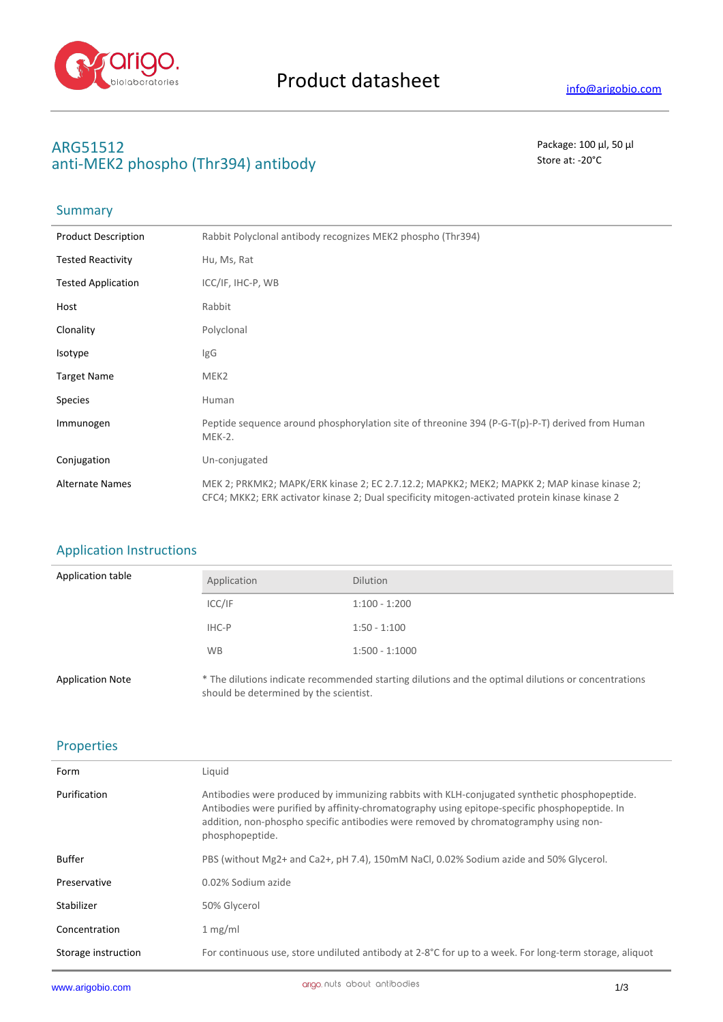

# **ARG51512** Package: 100 μl, 50 μl anti-MEK2 phospho (Thr394) antibody store at: -20<sup>°</sup>C

# **Summary**

| <b>Product Description</b> | Rabbit Polyclonal antibody recognizes MEK2 phospho (Thr394)                                                                                                                                  |
|----------------------------|----------------------------------------------------------------------------------------------------------------------------------------------------------------------------------------------|
| <b>Tested Reactivity</b>   | Hu, Ms, Rat                                                                                                                                                                                  |
| <b>Tested Application</b>  | ICC/IF, IHC-P, WB                                                                                                                                                                            |
| Host                       | Rabbit                                                                                                                                                                                       |
| Clonality                  | Polyclonal                                                                                                                                                                                   |
| <b>Isotype</b>             | <b>IgG</b>                                                                                                                                                                                   |
| <b>Target Name</b>         | MEK <sub>2</sub>                                                                                                                                                                             |
| <b>Species</b>             | Human                                                                                                                                                                                        |
| Immunogen                  | Peptide sequence around phosphorylation site of threonine 394 (P-G-T(p)-P-T) derived from Human<br>$MEK-2.$                                                                                  |
| Conjugation                | Un-conjugated                                                                                                                                                                                |
| <b>Alternate Names</b>     | MEK 2; PRKMK2; MAPK/ERK kinase 2; EC 2.7.12.2; MAPKK2; MEK2; MAPKK 2; MAP kinase kinase 2;<br>CFC4; MKK2; ERK activator kinase 2; Dual specificity mitogen-activated protein kinase kinase 2 |

# Application Instructions

| Application table       | Application | <b>Dilution</b>                                                                                     |
|-------------------------|-------------|-----------------------------------------------------------------------------------------------------|
|                         | ICC/IF      | $1:100 - 1:200$                                                                                     |
|                         | IHC-P       | $1:50 - 1:100$                                                                                      |
|                         | <b>WB</b>   | $1:500 - 1:1000$                                                                                    |
| <b>Application Note</b> |             | * The dilutions indicate recommended starting dilutions and the optimal dilutions or concentrations |

should be determined by the scientist.

### Properties

| Form                | Liquid                                                                                                                                                                                                                                                                                                   |
|---------------------|----------------------------------------------------------------------------------------------------------------------------------------------------------------------------------------------------------------------------------------------------------------------------------------------------------|
| Purification        | Antibodies were produced by immunizing rabbits with KLH-conjugated synthetic phosphopeptide.<br>Antibodies were purified by affinity-chromatography using epitope-specific phosphopeptide. In<br>addition, non-phospho specific antibodies were removed by chromatogramphy using non-<br>phosphopeptide. |
| Buffer              | PBS (without Mg2+ and Ca2+, pH 7.4), 150mM NaCl, 0.02% Sodium azide and 50% Glycerol.                                                                                                                                                                                                                    |
| Preservative        | 0.02% Sodium azide                                                                                                                                                                                                                                                                                       |
| Stabilizer          | 50% Glycerol                                                                                                                                                                                                                                                                                             |
| Concentration       | 1 mg/ml                                                                                                                                                                                                                                                                                                  |
| Storage instruction | For continuous use, store undiluted antibody at 2-8°C for up to a week. For long-term storage, aliquot                                                                                                                                                                                                   |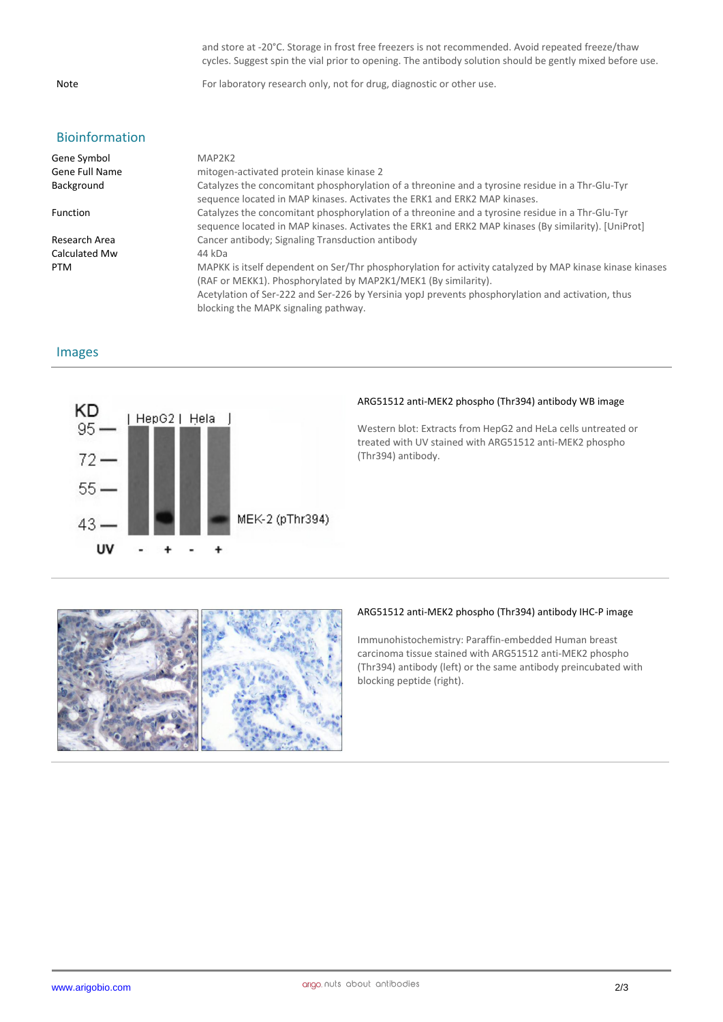and store at -20°C. Storage in frost free freezers is not recommended. Avoid repeated freeze/thaw cycles. Suggest spin the vial prior to opening. The antibody solution should be gently mixed before use.

Note For laboratory research only, not for drug, diagnostic or other use.

## Bioinformation

| Gene Symbol     | MAP2K2                                                                                                                                                                                                                                                                                                                  |
|-----------------|-------------------------------------------------------------------------------------------------------------------------------------------------------------------------------------------------------------------------------------------------------------------------------------------------------------------------|
| Gene Full Name  | mitogen-activated protein kinase kinase 2                                                                                                                                                                                                                                                                               |
| Background      | Catalyzes the concomitant phosphorylation of a threonine and a tyrosine residue in a Thr-Glu-Tyr<br>sequence located in MAP kinases. Activates the ERK1 and ERK2 MAP kinases.                                                                                                                                           |
| <b>Function</b> | Catalyzes the concomitant phosphorylation of a threonine and a tyrosine residue in a Thr-Glu-Tyr<br>sequence located in MAP kinases. Activates the ERK1 and ERK2 MAP kinases (By similarity). [UniProt]                                                                                                                 |
| Research Area   | Cancer antibody; Signaling Transduction antibody                                                                                                                                                                                                                                                                        |
| Calculated Mw   | 44 kDa                                                                                                                                                                                                                                                                                                                  |
| <b>PTM</b>      | MAPKK is itself dependent on Ser/Thr phosphorylation for activity catalyzed by MAP kinase kinase kinases<br>(RAF or MEKK1). Phosphorylated by MAP2K1/MEK1 (By similarity).<br>Acetylation of Ser-222 and Ser-226 by Yersinia yopJ prevents phosphorylation and activation, thus<br>blocking the MAPK signaling pathway. |

#### Images



#### **ARG51512 anti-MEK2 phospho (Thr394) antibody WB image**

Western blot: Extracts from HepG2 and HeLa cells untreated or treated with UV stained with ARG51512 anti-MEK2 phospho (Thr394) antibody.



#### **ARG51512 anti-MEK2 phospho (Thr394) antibody IHC-P image**

Immunohistochemistry: Paraffin-embedded Human breast carcinoma tissue stained with ARG51512 anti-MEK2 phospho (Thr394) antibody (left) or the same antibody preincubated with blocking peptide (right).